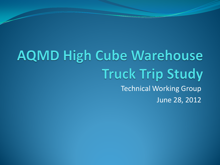#### **AQMD High Cube Warehouse Truck Trip Study** Technical Working Group June 28, 2012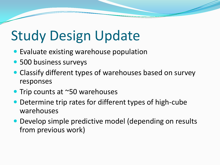# Study Design Update

- Evaluate existing warehouse population
- 500 business surveys
- Classify different types of warehouses based on survey responses
- Trip counts at ~50 warehouses
- Determine trip rates for different types of high-cube warehouses
- Develop simple predictive model (depending on results from previous work)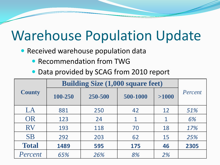# Warehouse Population Update

- **Received warehouse population data** 
	- Recommendation from TWG
	- Data provided by SCAG from 2010 report

|               | <b>Building Size (1,000 square feet)</b> |         |          |       |         |
|---------------|------------------------------------------|---------|----------|-------|---------|
| <b>County</b> | 100-250                                  | 250-500 | 500-1000 | >1000 | Percent |
| LA            | 881                                      | 250     | 42       | 12    | 51%     |
| OR            | 123                                      | 24      |          | 1     | 6%      |
| <b>RV</b>     | 193                                      | 118     | 70       | 18    | 17%     |
| <b>SB</b>     | 292                                      | 203     | 62       | 15    | 25%     |
| <b>Total</b>  | 1489                                     | 595     | 175      | 46    | 2305    |
| Percent       | 65%                                      | 26%     | 8%       | 2%    |         |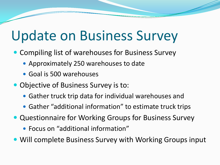# Update on Business Survey

- Compiling list of warehouses for Business Survey
	- Approximately 250 warehouses to date
	- Goal is 500 warehouses
- Objective of Business Survey is to:
	- Gather truck trip data for individual warehouses and
	- Gather "additional information" to estimate truck trips
- Questionnaire for Working Groups for Business Survey
	- Focus on "additional information"
- Will complete Business Survey with Working Groups input